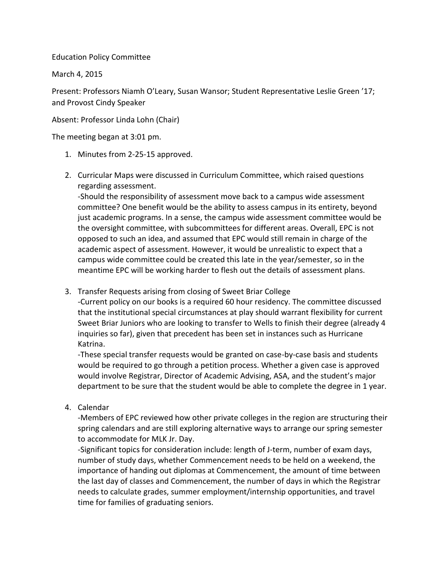Education Policy Committee

March 4, 2015

Present: Professors Niamh O'Leary, Susan Wansor; Student Representative Leslie Green '17; and Provost Cindy Speaker

Absent: Professor Linda Lohn (Chair)

The meeting began at 3:01 pm.

- 1. Minutes from 2-25-15 approved.
- 2. Curricular Maps were discussed in Curriculum Committee, which raised questions regarding assessment.

-Should the responsibility of assessment move back to a campus wide assessment committee? One benefit would be the ability to assess campus in its entirety, beyond just academic programs. In a sense, the campus wide assessment committee would be the oversight committee, with subcommittees for different areas. Overall, EPC is not opposed to such an idea, and assumed that EPC would still remain in charge of the academic aspect of assessment. However, it would be unrealistic to expect that a campus wide committee could be created this late in the year/semester, so in the meantime EPC will be working harder to flesh out the details of assessment plans.

3. Transfer Requests arising from closing of Sweet Briar College

-Current policy on our books is a required 60 hour residency. The committee discussed that the institutional special circumstances at play should warrant flexibility for current Sweet Briar Juniors who are looking to transfer to Wells to finish their degree (already 4 inquiries so far), given that precedent has been set in instances such as Hurricane Katrina.

-These special transfer requests would be granted on case-by-case basis and students would be required to go through a petition process. Whether a given case is approved would involve Registrar, Director of Academic Advising, ASA, and the student's major department to be sure that the student would be able to complete the degree in 1 year.

4. Calendar

-Members of EPC reviewed how other private colleges in the region are structuring their spring calendars and are still exploring alternative ways to arrange our spring semester to accommodate for MLK Jr. Day.

-Significant topics for consideration include: length of J-term, number of exam days, number of study days, whether Commencement needs to be held on a weekend, the importance of handing out diplomas at Commencement, the amount of time between the last day of classes and Commencement, the number of days in which the Registrar needs to calculate grades, summer employment/internship opportunities, and travel time for families of graduating seniors.